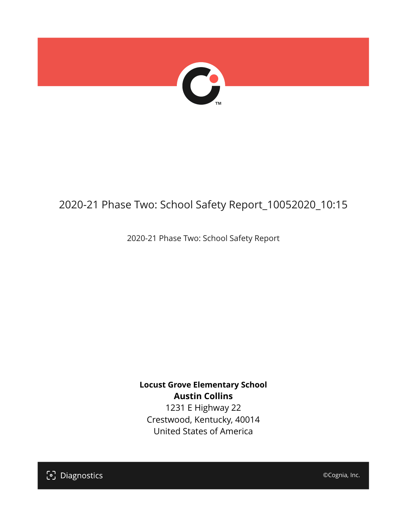

# 2020-21 Phase Two: School Safety Report\_10052020\_10:15

2020-21 Phase Two: School Safety Report

**Locust Grove Elementary School Austin Collins**

1231 E Highway 22 Crestwood, Kentucky, 40014 United States of America

[၁] Diagnostics

©Cognia, Inc.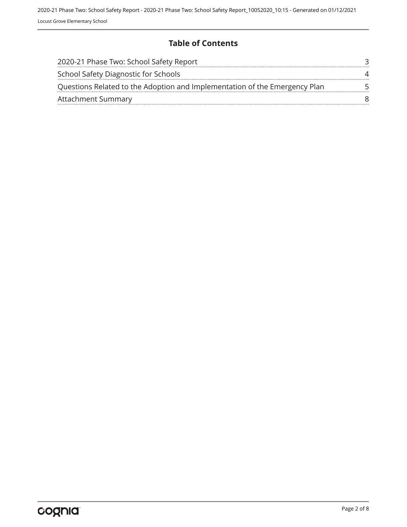## **Table of Contents**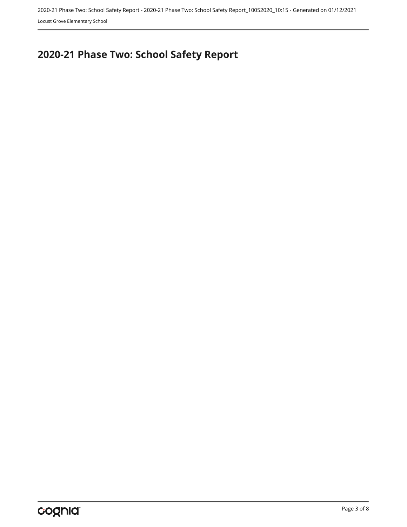Locust Grove Elementary School

# <span id="page-2-0"></span>**2020-21 Phase Two: School Safety Report**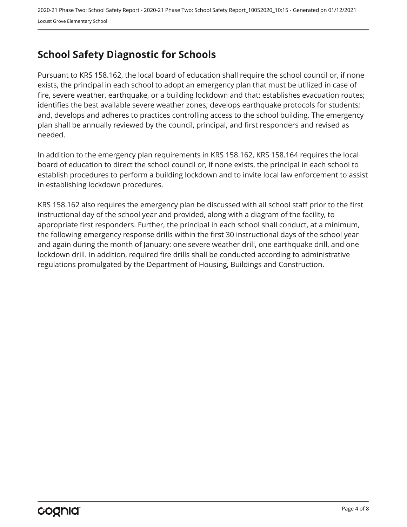## <span id="page-3-0"></span>**School Safety Diagnostic for Schools**

Pursuant to KRS 158.162, the local board of education shall require the school council or, if none exists, the principal in each school to adopt an emergency plan that must be utilized in case of fire, severe weather, earthquake, or a building lockdown and that: establishes evacuation routes; identifies the best available severe weather zones; develops earthquake protocols for students; and, develops and adheres to practices controlling access to the school building. The emergency plan shall be annually reviewed by the council, principal, and first responders and revised as needed.

In addition to the emergency plan requirements in KRS 158.162, KRS 158.164 requires the local board of education to direct the school council or, if none exists, the principal in each school to establish procedures to perform a building lockdown and to invite local law enforcement to assist in establishing lockdown procedures.

KRS 158.162 also requires the emergency plan be discussed with all school staff prior to the first instructional day of the school year and provided, along with a diagram of the facility, to appropriate first responders. Further, the principal in each school shall conduct, at a minimum, the following emergency response drills within the first 30 instructional days of the school year and again during the month of January: one severe weather drill, one earthquake drill, and one lockdown drill. In addition, required fire drills shall be conducted according to administrative regulations promulgated by the Department of Housing, Buildings and Construction.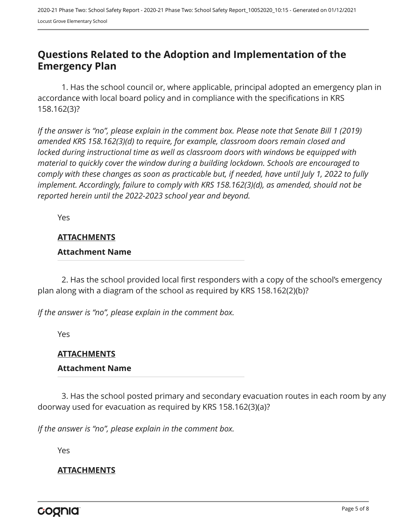## <span id="page-4-0"></span>**Questions Related to the Adoption and Implementation of the Emergency Plan**

1. Has the school council or, where applicable, principal adopted an emergency plan in accordance with local board policy and in compliance with the specifications in KRS 158.162(3)?

*If the answer is "no", please explain in the comment box. Please note that Senate Bill 1 (2019) amended KRS 158.162(3)(d) to require, for example, classroom doors remain closed and locked during instructional time as well as classroom doors with windows be equipped with material to quickly cover the window during a building lockdown. Schools are encouraged to comply with these changes as soon as practicable but, if needed, have until July 1, 2022 to fully implement. Accordingly, failure to comply with KRS 158.162(3)(d), as amended, should not be reported herein until the 2022-2023 school year and beyond.*

Yes

#### **ATTACHMENTS**

#### **Attachment Name**

2. Has the school provided local first responders with a copy of the school's emergency plan along with a diagram of the school as required by KRS 158.162(2)(b)?

*If the answer is "no", please explain in the comment box.*

Yes

#### **ATTACHMENTS**

#### **Attachment Name**

3. Has the school posted primary and secondary evacuation routes in each room by any doorway used for evacuation as required by KRS 158.162(3)(a)?

*If the answer is "no", please explain in the comment box.*

Yes

#### **ATTACHMENTS**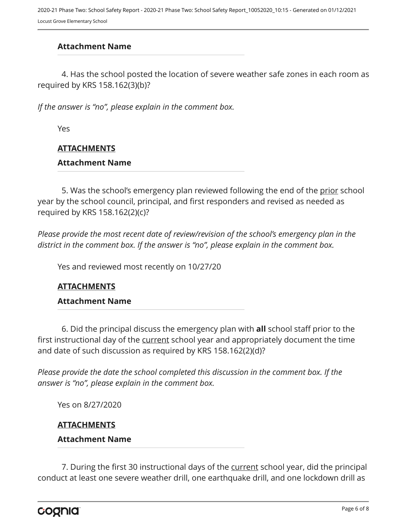## **Attachment Name**

4. Has the school posted the location of severe weather safe zones in each room as required by KRS 158.162(3)(b)?

*If the answer is "no", please explain in the comment box.*

Yes

## **ATTACHMENTS**

#### **Attachment Name**

5. Was the school's emergency plan reviewed following the end of the prior school year by the school council, principal, and first responders and revised as needed as required by KRS 158.162(2)(c)?

*Please provide the most recent date of review/revision of the school's emergency plan in the district in the comment box. If the answer is "no", please explain in the comment box.* 

Yes and reviewed most recently on 10/27/20

#### **ATTACHMENTS**

#### **Attachment Name**

6. Did the principal discuss the emergency plan with **all** school staff prior to the first instructional day of the current school year and appropriately document the time and date of such discussion as required by KRS 158.162(2)(d)?

*Please provide the date the school completed this discussion in the comment box. If the answer is "no", please explain in the comment box.*

Yes on 8/27/2020

#### **ATTACHMENTS**

#### **Attachment Name**

7. During the first 30 instructional days of the current school year, did the principal conduct at least one severe weather drill, one earthquake drill, and one lockdown drill as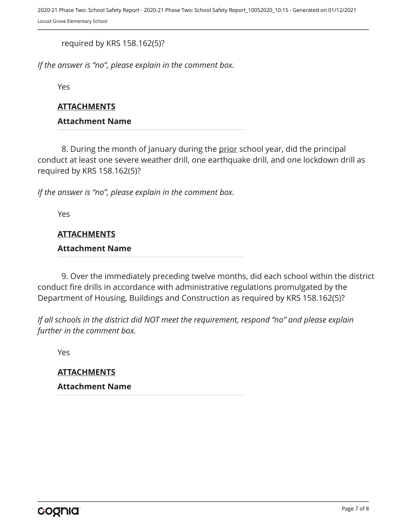required by KRS 158.162(5)?

*If the answer is "no", please explain in the comment box.*

Yes

#### **ATTACHMENTS**

#### **Attachment Name**

8. During the month of January during the prior school year, did the principal conduct at least one severe weather drill, one earthquake drill, and one lockdown drill as required by KRS 158.162(5)?

*If the answer is "no", please explain in the comment box.*

Yes

#### **ATTACHMENTS**

#### **Attachment Name**

9. Over the immediately preceding twelve months, did each school within the district conduct fire drills in accordance with administrative regulations promulgated by the Department of Housing, Buildings and Construction as required by KRS 158.162(5)?

*If all schools in the district did NOT meet the requirement, respond "no" and please explain further in the comment box.* 

Yes

**ATTACHMENTS Attachment Name**